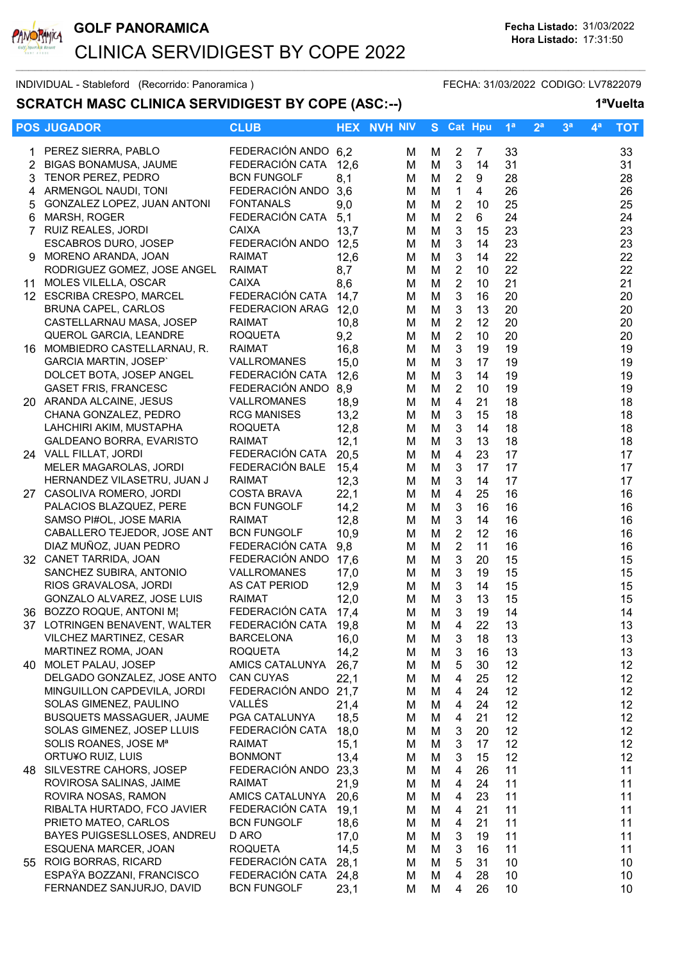

INDIVIDUAL - Stableford (Recorrido: Panoramica) FECHA: 31/03/2022 CODIGO: LV7822079

## SCRATCH MASC CLINICA SERVIDIGEST BY COPE (ASC:--) 1<sup>a</sup>Vuelta

|    | <b>POS JUGADOR</b>                                        | <b>CLUB</b>                            |              | <b>HEX NVH NIV</b> |        | S Cat Hpu                  |                | 1 <sup>a</sup> | 2 <sup>a</sup> | 3 <sup>a</sup> | $4^a$ | <b>TOT</b>      |
|----|-----------------------------------------------------------|----------------------------------------|--------------|--------------------|--------|----------------------------|----------------|----------------|----------------|----------------|-------|-----------------|
|    |                                                           |                                        |              |                    |        |                            |                |                |                |                |       |                 |
|    | PEREZ SIERRA, PABLO                                       | FEDERACIÓN ANDO 6,2<br>FEDERACIÓN CATA |              | м                  | M      | $\overline{2}$             | 7              | 33             |                |                |       | 33              |
| 2  | <b>BIGAS BONAMUSA, JAUME</b><br><b>TENOR PEREZ, PEDRO</b> | <b>BCN FUNGOLF</b>                     | 12,6         | м                  | M      | $\mathbf{3}$               | 14             | 31<br>28       |                |                |       | 31              |
| 3  |                                                           |                                        | 8,1          | м                  | M      | $\overline{2}$             | 9              |                |                |                |       | 28              |
| 4  | ARMENGOL NAUDI, TONI                                      | FEDERACIÓN ANDO                        | 3,6          | м                  | M      | $\mathbf{1}$               | $\overline{4}$ | 26             |                |                |       | 26              |
| 5  | GONZALEZ LOPEZ, JUAN ANTONI                               | <b>FONTANALS</b><br>FEDERACIÓN CATA    | 9,0          | M                  | M      | $\sqrt{2}$                 | 10             | 25             |                |                |       | 25              |
| 6  | MARSH, ROGER<br>7 RUIZ REALES, JORDI                      | <b>CAIXA</b>                           | 5,1<br>13,7  | M<br>м             | M<br>M | $\sqrt{2}$<br>$\mathbf{3}$ | 6<br>15        | 24<br>23       |                |                |       | 24<br>23        |
|    |                                                           | FEDERACIÓN ANDO 12,5                   |              |                    |        |                            |                |                |                |                |       | 23              |
| 9  | <b>ESCABROS DURO, JOSEP</b><br>MORENO ARANDA, JOAN        | <b>RAIMAT</b>                          |              | M                  | M      | 3<br>3                     | 14<br>14       | 23<br>22       |                |                |       | 22              |
|    | RODRIGUEZ GOMEZ, JOSE ANGEL                               | <b>RAIMAT</b>                          | 12,6<br>8,7  | M                  | M      | $\overline{2}$             | 10             | 22             |                |                |       | 22              |
| 11 | MOLES VILELLA, OSCAR                                      | <b>CAIXA</b>                           | 8,6          | м<br>м             | M<br>M | $\overline{2}$             | 10             | 21             |                |                |       | 21              |
|    | 12 ESCRIBA CRESPO, MARCEL                                 | FEDERACIÓN CATA                        | 14,7         | м                  | M      | 3                          | 16             | 20             |                |                |       | 20              |
|    | <b>BRUNA CAPEL, CARLOS</b>                                | FEDERACION ARAG 12,0                   |              | м                  | M      | $\mathbf{3}$               | 13             | 20             |                |                |       | 20              |
|    | CASTELLARNAU MASA, JOSEP                                  | <b>RAIMAT</b>                          | 10,8         | м                  | M      | $\overline{2}$             | 12             | 20             |                |                |       | 20              |
|    | QUEROL GARCIA, LEANDRE                                    | <b>ROQUETA</b>                         | 9,2          | м                  | M      | $\sqrt{2}$                 | 10             | 20             |                |                |       | 20              |
|    | 16 MOMBIEDRO CASTELLARNAU, R.                             | <b>RAIMAT</b>                          | 16,8         | м                  | M      | $\mathbf{3}$               | 19             | 19             |                |                |       | 19              |
|    | <b>GARCIA MARTIN, JOSEP'</b>                              | VALLROMANES                            | 15,0         | м                  | M      | $\mathbf{3}$               | 17             | 19             |                |                |       | 19              |
|    | DOLCET BOTA, JOSEP ANGEL                                  | FEDERACIÓN CATA                        | 12,6         | M                  | M      | $\mathbf{3}$               | 14             | 19             |                |                |       | 19              |
|    | <b>GASET FRIS, FRANCESC</b>                               | FEDERACIÓN ANDO 8,9                    |              | M                  | M      | $\overline{2}$             | 10             | 19             |                |                |       | 19              |
|    | 20 ARANDA ALCAINE, JESUS                                  | VALLROMANES                            | 18,9         | м                  | M      | $\overline{4}$             | 21             | 18             |                |                |       | 18              |
|    | CHANA GONZALEZ, PEDRO                                     | <b>RCG MANISES</b>                     | 13,2         | M                  | M      | 3                          | 15             | 18             |                |                |       | 18              |
|    | LAHCHIRI AKIM, MUSTAPHA                                   | <b>ROQUETA</b>                         | 12,8         | м                  | M      | 3                          | 14             | 18             |                |                |       | 18              |
|    | GALDEANO BORRA, EVARISTO                                  | <b>RAIMAT</b>                          | 12,1         | м                  | M      | 3                          | 13             | 18             |                |                |       | 18              |
|    | 24 VALL FILLAT, JORDI                                     | FEDERACIÓN CATA                        | 20,5         | M                  | M      | 4                          | 23             | 17             |                |                |       | 17              |
|    | MELER MAGAROLAS, JORDI                                    | FEDERACIÓN BALE                        | 15,4         | м                  | M      | 3                          | 17             | 17             |                |                |       | 17              |
|    | HERNANDEZ VILASETRU, JUAN J                               | <b>RAIMAT</b>                          | 12,3         | м                  | M      | 3                          | 14             | 17             |                |                |       | 17              |
|    | 27 CASOLIVA ROMERO, JORDI                                 | <b>COSTA BRAVA</b>                     | 22,1         | м                  | M      | $\overline{\mathbf{4}}$    | 25             | 16             |                |                |       | 16              |
|    | PALACIOS BLAZQUEZ, PERE                                   | <b>BCN FUNGOLF</b>                     | 14,2         | M                  | M      | $\mathbf{3}$               | 16             | 16             |                |                |       | 16              |
|    | SAMSO PI#OL, JOSE MARIA                                   | <b>RAIMAT</b>                          | 12,8         | м                  | M      | $\mathbf{3}$               | 14             | 16             |                |                |       | 16              |
|    | CABALLERO TEJEDOR, JOSE ANT                               | <b>BCN FUNGOLF</b>                     | 10,9         | M                  | M      | $\sqrt{2}$                 | 12             | 16             |                |                |       | 16              |
|    | DIAZ MUÑOZ, JUAN PEDRO                                    | FEDERACIÓN CATA                        | 9,8          | M                  | M      | $\overline{2}$             | 11             | 16             |                |                |       | 16              |
|    | 32 CANET TARRIDA, JOAN                                    | FEDERACIÓN ANDO                        | 17,6         | M                  | M      | $\mathbf{3}$               | 20             | 15             |                |                |       | 15              |
|    | SANCHEZ SUBIRA, ANTONIO                                   | VALLROMANES                            | 17,0         | M                  | M      | 3                          | 19             | 15             |                |                |       | 15              |
|    | RIOS GRAVALOSA, JORDI                                     | AS CAT PERIOD                          | 12,9         | M                  | M      | 3                          | 14             | 15             |                |                |       | 15              |
|    | GONZALO ALVAREZ, JOSE LUIS                                | <b>RAIMAT</b>                          | 12,0         | м                  | M      | 3                          | 13             | 15             |                |                |       | 15              |
|    | 36 BOZZO ROQUE, ANTONI M¦                                 | FEDERACIÓN CATA                        | 17,4         | м                  | М      | 3                          | 19             | 14             |                |                |       | 14              |
|    | 37 LOTRINGEN BENAVENT, WALTER                             | FEDERACIÓN CATA                        | 19,8         | М                  | M      | 4                          | 22             | 13             |                |                |       | 13              |
|    | VILCHEZ MARTINEZ, CESAR                                   | <b>BARCELONA</b>                       | 16,0         | М                  | M      | 3                          | 18             | 13             |                |                |       | 13              |
|    | MARTINEZ ROMA, JOAN                                       | <b>ROQUETA</b>                         | 14,2         | M                  | M      | 3                          | 16             | 13             |                |                |       | 13              |
|    | 40 MOLET PALAU, JOSEP                                     | AMICS CATALUNYA                        | 26,7         | м                  | M      | 5                          | 30             | 12             |                |                |       | 12              |
|    | DELGADO GONZALEZ, JOSE ANTO                               | <b>CAN CUYAS</b>                       | 22,1         | м                  | M      | $\overline{4}$             | 25             | 12             |                |                |       | 12 <sub>2</sub> |
|    | MINGUILLON CAPDEVILA, JORDI                               | FEDERACIÓN ANDO 21,7                   |              | м                  | M      | 4                          | 24             | 12             |                |                |       | 12 <sub>2</sub> |
|    | SOLAS GIMENEZ, PAULINO                                    | VALLÉS                                 | 21,4         | м                  | M      | 4                          | 24             | 12             |                |                |       | 12 <sub>2</sub> |
|    | <b>BUSQUETS MASSAGUER, JAUME</b>                          | PGA CATALUNYA                          | 18,5         | M                  | M      | $\overline{\mathbf{4}}$    | 21             | 12             |                |                |       | 12              |
|    | SOLAS GIMENEZ, JOSEP LLUIS                                | FEDERACIÓN CATA                        | 18,0         | м                  | M      | 3                          | 20             | 12             |                |                |       | 12              |
|    | SOLIS ROANES, JOSE Mª                                     | <b>RAIMAT</b>                          | 15,1         | м                  | M      | 3                          | 17             | 12             |                |                |       | 12              |
|    | ORTU¥O RUIZ, LUIS                                         | <b>BONMONT</b>                         | 13,4         | м                  | M      | 3                          | 15             | 12             |                |                |       | 12              |
|    | 48 SILVESTRE CAHORS, JOSEP                                | FEDERACIÓN ANDO 23,3                   |              | м                  | M      | 4                          | 26             | 11             |                |                |       | 11              |
|    | ROVIROSA SALINAS, JAIME                                   | <b>RAIMAT</b>                          | 21,9         | м                  | M      | 4                          | 24             | 11             |                |                |       | 11              |
|    | ROVIRA NOSAS, RAMON                                       | AMICS CATALUNYA                        | 20,6         | м                  | M      | 4                          | 23             | 11             |                |                |       | 11              |
|    | RIBALTA HURTADO, FCO JAVIER                               | FEDERACIÓN CATA                        | 19,1         | м                  | M      | 4                          | 21             | 11             |                |                |       | 11              |
|    | PRIETO MATEO, CARLOS                                      | <b>BCN FUNGOLF</b>                     | 18,6         | м                  | M      | 4                          | 21             | 11             |                |                |       | 11              |
|    | <b>BAYES PUIGSESLLOSES, ANDREU</b>                        | D ARO                                  | 17,0         | м                  | M      | 3                          | 19             | 11             |                |                |       | 11              |
|    | ESQUENA MARCER, JOAN<br>55 ROIG BORRAS, RICARD            | <b>ROQUETA</b><br>FEDERACIÓN CATA      | 14,5         | м                  | M      | $\mathbf{3}$<br>5          | 16             | 11             |                |                |       | 11              |
|    | ESPAŸA BOZZANI, FRANCISCO                                 | FEDERACIÓN CATA                        | 28,1<br>24,8 | м<br>м             | M<br>M | 4                          | 31<br>28       | 10<br>10       |                |                |       | 10<br>10        |
|    | FERNANDEZ SANJURJO, DAVID                                 | <b>BCN FUNGOLF</b>                     | 23,1         | м                  | M      | 4                          | 26             | 10             |                |                |       | 10              |
|    |                                                           |                                        |              |                    |        |                            |                |                |                |                |       |                 |